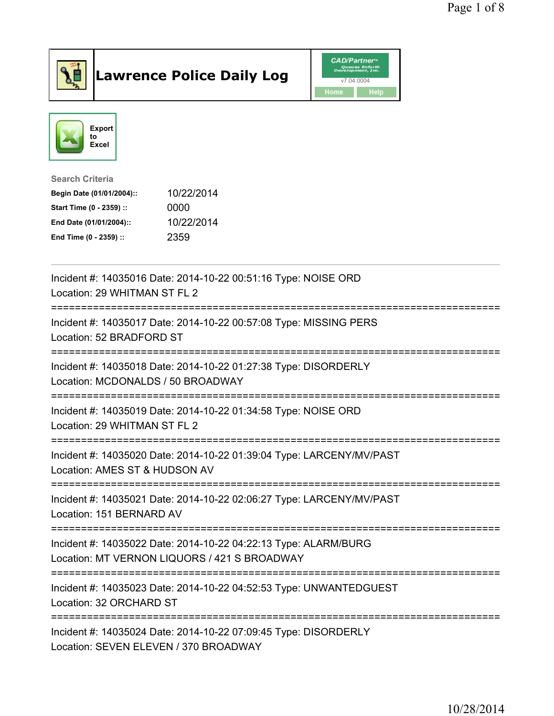

## Lawrence Police Daily Log **Daniel CAD/Partner**





## Search Criteria Begin Date (01/01/2004):: 10/22/2014 Start Time (0 - 2359) :: 0000 End Date (01/01/2004):: 10/22/2014 End Time (0 - 2359) :: 2359

| Incident #: 14035016 Date: 2014-10-22 00:51:16 Type: NOISE ORD<br>Location: 29 WHITMAN ST FL 2                                               |
|----------------------------------------------------------------------------------------------------------------------------------------------|
| Incident #: 14035017 Date: 2014-10-22 00:57:08 Type: MISSING PERS<br>Location: 52 BRADFORD ST                                                |
| Incident #: 14035018 Date: 2014-10-22 01:27:38 Type: DISORDERLY<br>Location: MCDONALDS / 50 BROADWAY                                         |
| Incident #: 14035019 Date: 2014-10-22 01:34:58 Type: NOISE ORD<br>Location: 29 WHITMAN ST FL 2                                               |
| Incident #: 14035020 Date: 2014-10-22 01:39:04 Type: LARCENY/MV/PAST<br>Location: AMES ST & HUDSON AV                                        |
| Incident #: 14035021 Date: 2014-10-22 02:06:27 Type: LARCENY/MV/PAST<br>Location: 151 BERNARD AV                                             |
| -------------------------<br>Incident #: 14035022 Date: 2014-10-22 04:22:13 Type: ALARM/BURG<br>Location: MT VERNON LIQUORS / 421 S BROADWAY |
| Incident #: 14035023 Date: 2014-10-22 04:52:53 Type: UNWANTEDGUEST<br>Location: 32 ORCHARD ST                                                |
| Incident #: 14035024 Date: 2014-10-22 07:09:45 Type: DISORDERLY<br>Location: SEVEN ELEVEN / 370 BROADWAY                                     |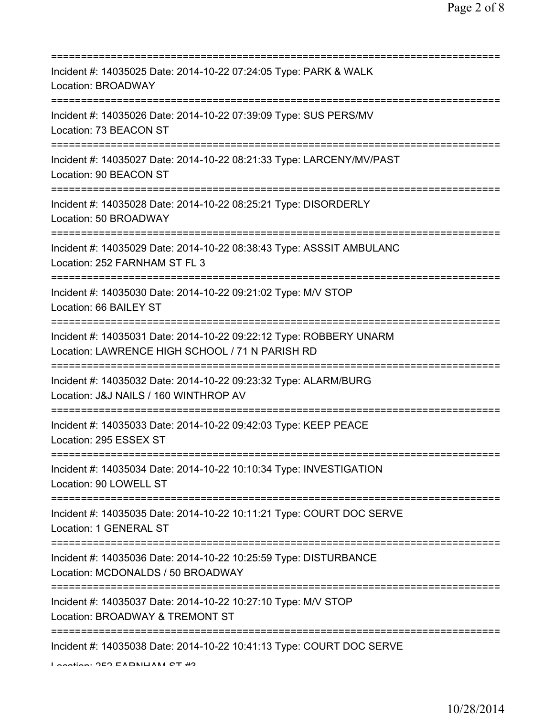| Incident #: 14035025 Date: 2014-10-22 07:24:05 Type: PARK & WALK<br>Location: BROADWAY                                |
|-----------------------------------------------------------------------------------------------------------------------|
| Incident #: 14035026 Date: 2014-10-22 07:39:09 Type: SUS PERS/MV<br>Location: 73 BEACON ST                            |
| Incident #: 14035027 Date: 2014-10-22 08:21:33 Type: LARCENY/MV/PAST<br>Location: 90 BEACON ST                        |
| Incident #: 14035028 Date: 2014-10-22 08:25:21 Type: DISORDERLY<br>Location: 50 BROADWAY                              |
| Incident #: 14035029 Date: 2014-10-22 08:38:43 Type: ASSSIT AMBULANC<br>Location: 252 FARNHAM ST FL 3                 |
| Incident #: 14035030 Date: 2014-10-22 09:21:02 Type: M/V STOP<br>Location: 66 BAILEY ST                               |
| Incident #: 14035031 Date: 2014-10-22 09:22:12 Type: ROBBERY UNARM<br>Location: LAWRENCE HIGH SCHOOL / 71 N PARISH RD |
| Incident #: 14035032 Date: 2014-10-22 09:23:32 Type: ALARM/BURG<br>Location: J&J NAILS / 160 WINTHROP AV              |
| Incident #: 14035033 Date: 2014-10-22 09:42:03 Type: KEEP PEACE<br>Location: 295 ESSEX ST                             |
| Incident #: 14035034 Date: 2014-10-22 10:10:34 Type: INVESTIGATION<br>Location: 90 LOWELL ST                          |
| Incident #: 14035035 Date: 2014-10-22 10:11:21 Type: COURT DOC SERVE<br>Location: 1 GENERAL ST                        |
| Incident #: 14035036 Date: 2014-10-22 10:25:59 Type: DISTURBANCE<br>Location: MCDONALDS / 50 BROADWAY                 |
| Incident #: 14035037 Date: 2014-10-22 10:27:10 Type: M/V STOP<br>Location: BROADWAY & TREMONT ST                      |
| Incident #: 14035038 Date: 2014-10-22 10:41:13 Type: COURT DOC SERVE<br>Lootion OEO EADMUAM OT 40                     |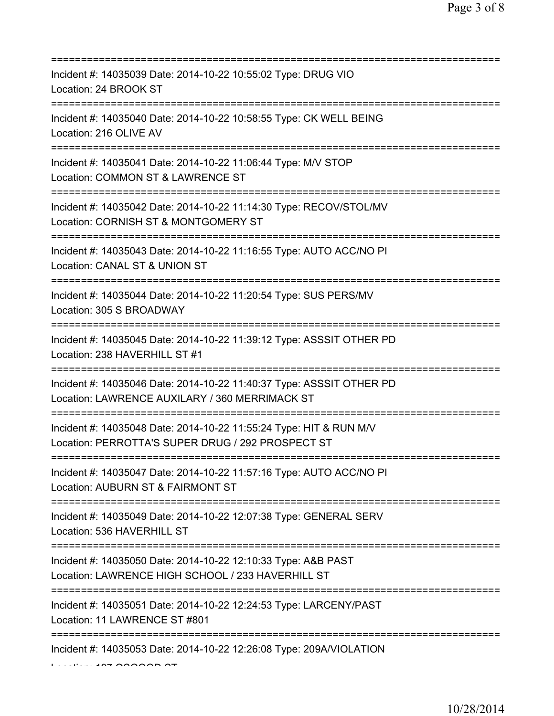| Incident #: 14035039 Date: 2014-10-22 10:55:02 Type: DRUG VIO<br>Location: 24 BROOK ST                                                        |
|-----------------------------------------------------------------------------------------------------------------------------------------------|
| Incident #: 14035040 Date: 2014-10-22 10:58:55 Type: CK WELL BEING<br>Location: 216 OLIVE AV                                                  |
| Incident #: 14035041 Date: 2014-10-22 11:06:44 Type: M/V STOP<br>Location: COMMON ST & LAWRENCE ST                                            |
| Incident #: 14035042 Date: 2014-10-22 11:14:30 Type: RECOV/STOL/MV<br>Location: CORNISH ST & MONTGOMERY ST                                    |
| Incident #: 14035043 Date: 2014-10-22 11:16:55 Type: AUTO ACC/NO PI<br>Location: CANAL ST & UNION ST<br>=========================             |
| Incident #: 14035044 Date: 2014-10-22 11:20:54 Type: SUS PERS/MV<br>Location: 305 S BROADWAY                                                  |
| Incident #: 14035045 Date: 2014-10-22 11:39:12 Type: ASSSIT OTHER PD<br>Location: 238 HAVERHILL ST #1<br>:=================================== |
| Incident #: 14035046 Date: 2014-10-22 11:40:37 Type: ASSSIT OTHER PD<br>Location: LAWRENCE AUXILARY / 360 MERRIMACK ST                        |
| Incident #: 14035048 Date: 2014-10-22 11:55:24 Type: HIT & RUN M/V<br>Location: PERROTTA'S SUPER DRUG / 292 PROSPECT ST                       |
| Incident #: 14035047 Date: 2014-10-22 11:57:16 Type: AUTO ACC/NO PI<br>Location: AUBURN ST & FAIRMONT ST                                      |
| Incident #: 14035049 Date: 2014-10-22 12:07:38 Type: GENERAL SERV<br>Location: 536 HAVERHILL ST                                               |
| Incident #: 14035050 Date: 2014-10-22 12:10:33 Type: A&B PAST<br>Location: LAWRENCE HIGH SCHOOL / 233 HAVERHILL ST                            |
| Incident #: 14035051 Date: 2014-10-22 12:24:53 Type: LARCENY/PAST<br>Location: 11 LAWRENCE ST #801                                            |
| Incident #: 14035053 Date: 2014-10-22 12:26:08 Type: 209A/VIOLATION                                                                           |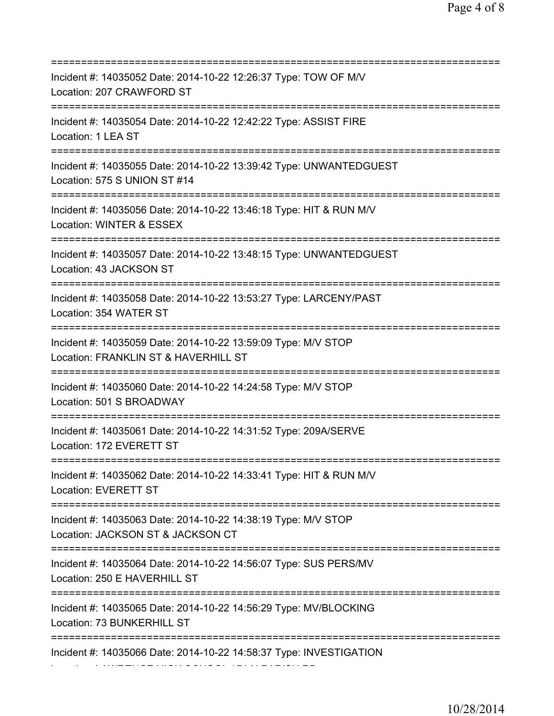| Incident #: 14035052 Date: 2014-10-22 12:26:37 Type: TOW OF M/V<br>Location: 207 CRAWFORD ST                                   |
|--------------------------------------------------------------------------------------------------------------------------------|
| Incident #: 14035054 Date: 2014-10-22 12:42:22 Type: ASSIST FIRE<br>Location: 1 LEA ST                                         |
| Incident #: 14035055 Date: 2014-10-22 13:39:42 Type: UNWANTEDGUEST<br>Location: 575 S UNION ST #14                             |
| Incident #: 14035056 Date: 2014-10-22 13:46:18 Type: HIT & RUN M/V<br>Location: WINTER & ESSEX                                 |
| Incident #: 14035057 Date: 2014-10-22 13:48:15 Type: UNWANTEDGUEST<br>Location: 43 JACKSON ST                                  |
| Incident #: 14035058 Date: 2014-10-22 13:53:27 Type: LARCENY/PAST<br>Location: 354 WATER ST<br>==============================  |
| Incident #: 14035059 Date: 2014-10-22 13:59:09 Type: M/V STOP<br>Location: FRANKLIN ST & HAVERHILL ST                          |
| Incident #: 14035060 Date: 2014-10-22 14:24:58 Type: M/V STOP<br>Location: 501 S BROADWAY<br>:================================ |
| Incident #: 14035061 Date: 2014-10-22 14:31:52 Type: 209A/SERVE<br>Location: 172 EVERETT ST                                    |
| Incident #: 14035062 Date: 2014-10-22 14:33:41 Type: HIT & RUN M/V<br>Location: EVERETT ST                                     |
| Incident #: 14035063 Date: 2014-10-22 14:38:19 Type: M/V STOP<br>Location: JACKSON ST & JACKSON CT                             |
| Incident #: 14035064 Date: 2014-10-22 14:56:07 Type: SUS PERS/MV<br>Location: 250 E HAVERHILL ST                               |
| Incident #: 14035065 Date: 2014-10-22 14:56:29 Type: MV/BLOCKING<br>Location: 73 BUNKERHILL ST                                 |
| Incident #: 14035066 Date: 2014-10-22 14:58:37 Type: INVESTIGATION                                                             |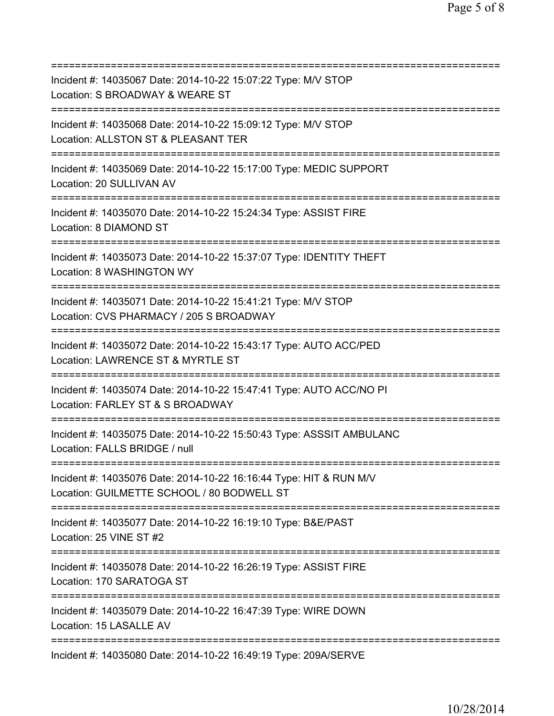| Incident #: 14035067 Date: 2014-10-22 15:07:22 Type: M/V STOP<br>Location: S BROADWAY & WEARE ST                                              |
|-----------------------------------------------------------------------------------------------------------------------------------------------|
| =========================<br>Incident #: 14035068 Date: 2014-10-22 15:09:12 Type: M/V STOP<br>Location: ALLSTON ST & PLEASANT TER             |
| Incident #: 14035069 Date: 2014-10-22 15:17:00 Type: MEDIC SUPPORT<br>Location: 20 SULLIVAN AV                                                |
| Incident #: 14035070 Date: 2014-10-22 15:24:34 Type: ASSIST FIRE<br>Location: 8 DIAMOND ST<br>;================================               |
| Incident #: 14035073 Date: 2014-10-22 15:37:07 Type: IDENTITY THEFT<br>Location: 8 WASHINGTON WY                                              |
| Incident #: 14035071 Date: 2014-10-22 15:41:21 Type: M/V STOP<br>Location: CVS PHARMACY / 205 S BROADWAY                                      |
| Incident #: 14035072 Date: 2014-10-22 15:43:17 Type: AUTO ACC/PED<br>Location: LAWRENCE ST & MYRTLE ST                                        |
| Incident #: 14035074 Date: 2014-10-22 15:47:41 Type: AUTO ACC/NO PI<br>Location: FARLEY ST & S BROADWAY                                       |
| Incident #: 14035075 Date: 2014-10-22 15:50:43 Type: ASSSIT AMBULANC<br>Location: FALLS BRIDGE / null                                         |
| Incident #: 14035076 Date: 2014-10-22 16:16:44 Type: HIT & RUN M/V<br>Location: GUILMETTE SCHOOL / 80 BODWELL ST<br>========================= |
| Incident #: 14035077 Date: 2014-10-22 16:19:10 Type: B&E/PAST<br>Location: 25 VINE ST #2                                                      |
| Incident #: 14035078 Date: 2014-10-22 16:26:19 Type: ASSIST FIRE<br>Location: 170 SARATOGA ST                                                 |
| Incident #: 14035079 Date: 2014-10-22 16:47:39 Type: WIRE DOWN<br>Location: 15 LASALLE AV                                                     |
| Incident #: 14035080 Date: 2014-10-22 16:49:19 Type: 209A/SERVE                                                                               |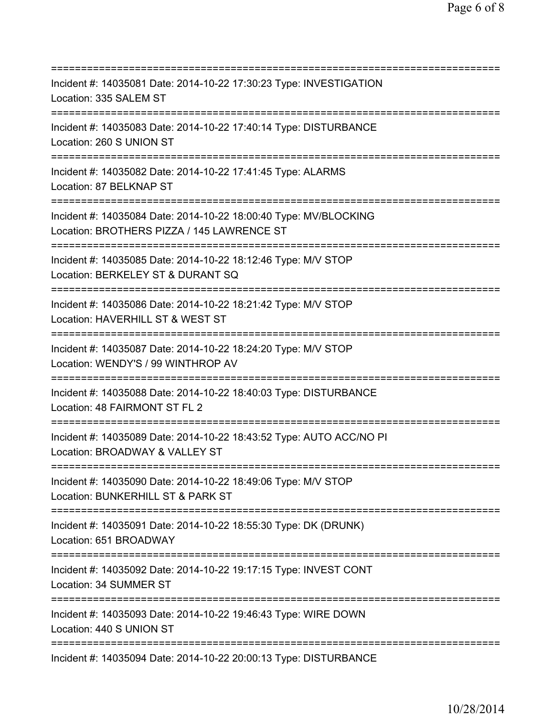=========================================================================== Incident #: 14035081 Date: 2014-10-22 17:30:23 Type: INVESTIGATION Location: 335 SALEM ST =========================================================================== Incident #: 14035083 Date: 2014-10-22 17:40:14 Type: DISTURBANCE Location: 260 S UNION ST =========================================================================== Incident #: 14035082 Date: 2014-10-22 17:41:45 Type: ALARMS Location: 87 BELKNAP ST =========================================================================== Incident #: 14035084 Date: 2014-10-22 18:00:40 Type: MV/BLOCKING Location: BROTHERS PIZZA / 145 LAWRENCE ST =========================================================================== Incident #: 14035085 Date: 2014-10-22 18:12:46 Type: M/V STOP Location: BERKELEY ST & DURANT SQ =========================================================================== Incident #: 14035086 Date: 2014-10-22 18:21:42 Type: M/V STOP Location: HAVERHILL ST & WEST ST =========================================================================== Incident #: 14035087 Date: 2014-10-22 18:24:20 Type: M/V STOP Location: WENDY'S / 99 WINTHROP AV =========================================================================== Incident #: 14035088 Date: 2014-10-22 18:40:03 Type: DISTURBANCE Location: 48 FAIRMONT ST FL 2 =========================================================================== Incident #: 14035089 Date: 2014-10-22 18:43:52 Type: AUTO ACC/NO PI Location: BROADWAY & VALLEY ST =========================================================================== Incident #: 14035090 Date: 2014-10-22 18:49:06 Type: M/V STOP Location: BUNKERHILL ST & PARK ST =========================================================================== Incident #: 14035091 Date: 2014-10-22 18:55:30 Type: DK (DRUNK) Location: 651 BROADWAY =========================================================================== Incident #: 14035092 Date: 2014-10-22 19:17:15 Type: INVEST CONT Location: 34 SUMMER ST =========================================================================== Incident #: 14035093 Date: 2014-10-22 19:46:43 Type: WIRE DOWN Location: 440 S UNION ST =========================================================================== Incident #: 14035094 Date: 2014-10-22 20:00:13 Type: DISTURBANCE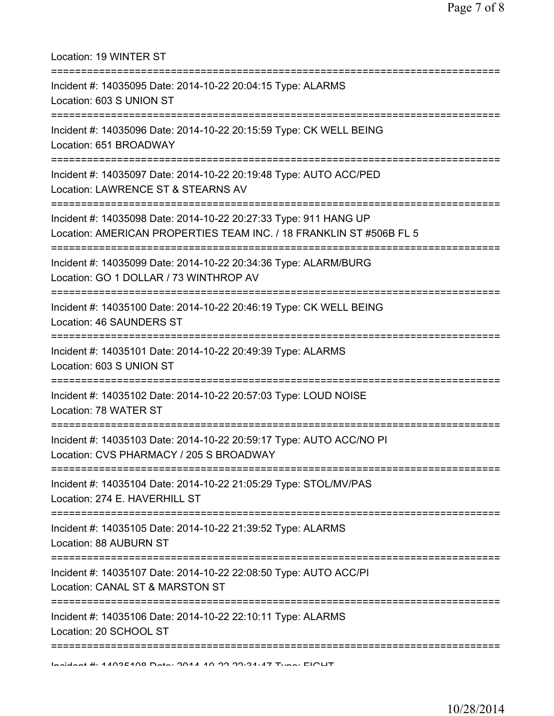| Location: 19 WINTER ST                                                                                                                  |
|-----------------------------------------------------------------------------------------------------------------------------------------|
| Incident #: 14035095 Date: 2014-10-22 20:04:15 Type: ALARMS<br>Location: 603 S UNION ST<br>----------------------------------           |
| Incident #: 14035096 Date: 2014-10-22 20:15:59 Type: CK WELL BEING<br>Location: 651 BROADWAY                                            |
| Incident #: 14035097 Date: 2014-10-22 20:19:48 Type: AUTO ACC/PED<br>Location: LAWRENCE ST & STEARNS AV                                 |
| Incident #: 14035098 Date: 2014-10-22 20:27:33 Type: 911 HANG UP<br>Location: AMERICAN PROPERTIES TEAM INC. / 18 FRANKLIN ST #506B FL 5 |
| Incident #: 14035099 Date: 2014-10-22 20:34:36 Type: ALARM/BURG<br>Location: GO 1 DOLLAR / 73 WINTHROP AV                               |
| Incident #: 14035100 Date: 2014-10-22 20:46:19 Type: CK WELL BEING<br>Location: 46 SAUNDERS ST                                          |
| Incident #: 14035101 Date: 2014-10-22 20:49:39 Type: ALARMS<br>Location: 603 S UNION ST                                                 |
| Incident #: 14035102 Date: 2014-10-22 20:57:03 Type: LOUD NOISE<br>Location: 78 WATER ST                                                |
| Incident #: 14035103 Date: 2014-10-22 20:59:17 Type: AUTO ACC/NO PI<br>Location: CVS PHARMACY / 205 S BROADWAY                          |
| Incident #: 14035104 Date: 2014-10-22 21:05:29 Type: STOL/MV/PAS<br>Location: 274 E. HAVERHILL ST                                       |
| Incident #: 14035105 Date: 2014-10-22 21:39:52 Type: ALARMS<br>Location: 88 AUBURN ST                                                   |
| Incident #: 14035107 Date: 2014-10-22 22:08:50 Type: AUTO ACC/PI<br>Location: CANAL ST & MARSTON ST                                     |
| Incident #: 14035106 Date: 2014-10-22 22:10:11 Type: ALARMS<br>Location: 20 SCHOOL ST                                                   |
| Indidnat # 4.400E400 Data: 2044 40 20 20:24.47 Tunn: EIOUT                                                                              |